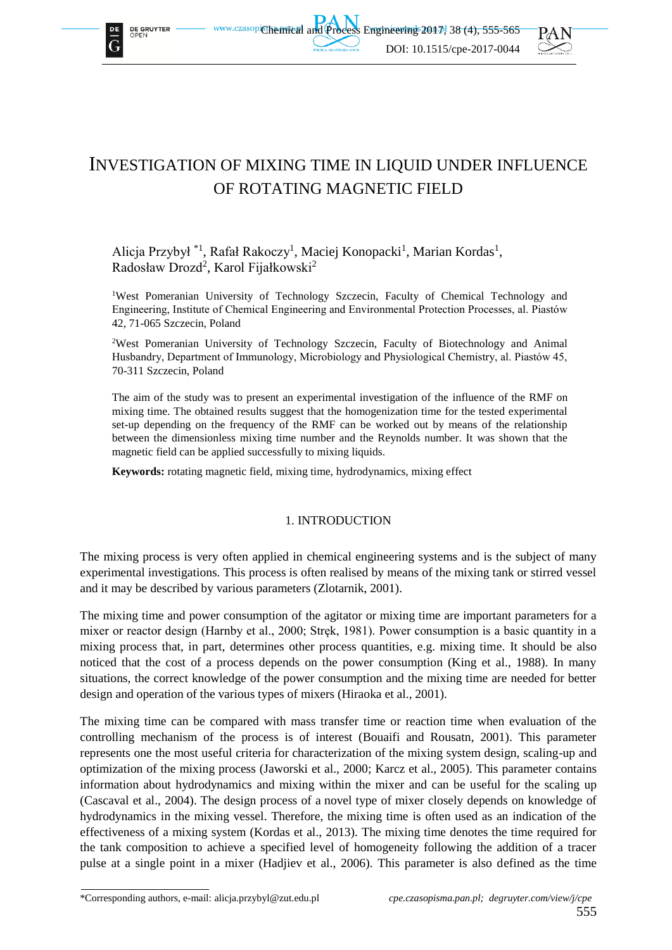

**DE GRUYTER** 





# INVESTIGATION OF MIXING TIME IN LIQUID UNDER INFLUENCE OF ROTATING MAGNETIC FIELD

## Alicja Przybył<sup>\*1</sup>, Rafał Rakoczy<sup>1</sup>, Maciej Konopacki<sup>1</sup>, Marian Kordas<sup>1</sup>, Radosław Drozd<sup>2</sup>, Karol Fijałkowski<sup>2</sup>

<sup>1</sup>West Pomeranian University of Technology Szczecin, Faculty of Chemical Technology and Engineering, Institute of Chemical Engineering and Environmental Protection Processes, al. Piastów 42, 71-065 Szczecin, Poland

<sup>2</sup>West Pomeranian University of Technology Szczecin, Faculty of Biotechnology and Animal Husbandry, Department of Immunology, Microbiology and Physiological Chemistry, al. Piastów 45, 70-311 Szczecin, Poland

The aim of the study was to present an experimental investigation of the influence of the RMF on mixing time. The obtained results suggest that the homogenization time for the tested experimental set-up depending on the frequency of the RMF can be worked out by means of the relationship between the dimensionless mixing time number and the Reynolds number. It was shown that the magnetic field can be applied successfully to mixing liquids.

**Keywords:** rotating magnetic field, mixing time, hydrodynamics, mixing effect

## 1. INTRODUCTION

The mixing process is very often applied in chemical engineering systems and is the subject of many experimental investigations. This process is often realised by means of the mixing tank or stirred vessel and it may be described by various parameters (Zlotarnik, 2001).

The mixing time and power consumption of the agitator or mixing time are important parameters for a mixer or reactor design (Harnby et al., 2000; Stręk, 1981). Power consumption is a basic quantity in a mixing process that, in part, determines other process quantities, e.g. mixing time. It should be also noticed that the cost of a process depends on the power consumption (King et al., 1988). In many situations, the correct knowledge of the power consumption and the mixing time are needed for better design and operation of the various types of mixers (Hiraoka et al., 2001).

The mixing time can be compared with mass transfer time or reaction time when evaluation of the controlling mechanism of the process is of interest (Bouaifi and Rousatn, 2001). This parameter represents one the most useful criteria for characterization of the mixing system design, scaling-up and optimization of the mixing process (Jaworski et al., 2000; Karcz et al., 2005). This parameter contains information about hydrodynamics and mixing within the mixer and can be useful for the scaling up (Cascaval et al., 2004). The design process of a novel type of mixer closely depends on knowledge of hydrodynamics in the mixing vessel. Therefore, the mixing time is often used as an indication of the effectiveness of a mixing system (Kordas et al., 2013). The mixing time denotes the time required for the tank composition to achieve a specified level of homogeneity following the addition of a tracer pulse at a single point in a mixer (Hadjiev et al., 2006). This parameter is also defined as the time

\*Corresponding authors, e-mail: alicja.przybyl@zut.edu.pl *cpe.czasopisma.pan.pl; degruyter.com/view/j/cpe*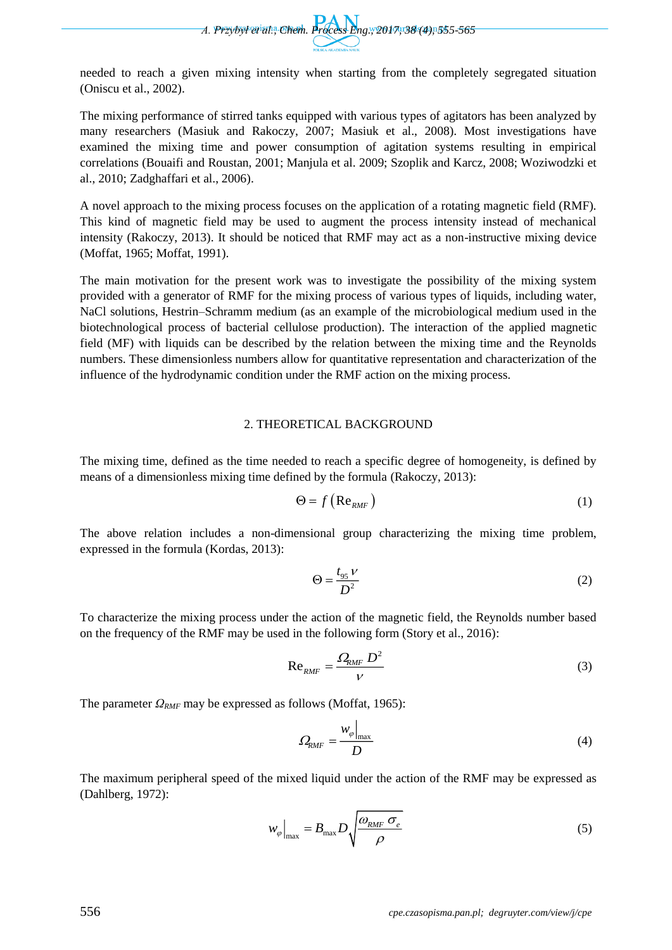

needed to reach a given mixing intensity when starting from the completely segregated situation (Oniscu et al., 2002).

The mixing performance of stirred tanks equipped with various types of agitators has been analyzed by many researchers (Masiuk and Rakoczy, 2007; Masiuk et al., 2008). Most investigations have examined the mixing time and power consumption of agitation systems resulting in empirical correlations (Bouaifi and Roustan, 2001; Manjula et al. 2009; Szoplik and Karcz, 2008; Woziwodzki et al., 2010; Zadghaffari et al., 2006).

A novel approach to the mixing process focuses on the application of a rotating magnetic field (RMF). This kind of magnetic field may be used to augment the process intensity instead of mechanical intensity (Rakoczy, 2013). It should be noticed that RMF may act as a non-instructive mixing device (Moffat, 1965; Moffat, 1991).

The main motivation for the present work was to investigate the possibility of the mixing system provided with a generator of RMF for the mixing process of various types of liquids, including water, NaCl solutions, Hestrin–Schramm medium (as an example of the microbiological medium used in the biotechnological process of bacterial cellulose production). The interaction of the applied magnetic field (MF) with liquids can be described by the relation between the mixing time and the Reynolds numbers. These dimensionless numbers allow for quantitative representation and characterization of the influence of the hydrodynamic condition under the RMF action on the mixing process.

## 2. THEORETICAL BACKGROUND

The mixing time, defined as the time needed to reach a specific degree of homogeneity, is defined by means of a dimensionless mixing time defined by the formula (Rakoczy, 2013):

$$
\Theta = f\left(\text{Re}_{RMF}\right) \tag{1}
$$

The above relation includes a non-dimensional group characterizing the mixing time problem, expressed in the formula (Kordas, 2013):

$$
\Theta = \frac{t_{95} \nu}{D^2} \tag{2}
$$

To characterize the mixing process under the action of the magnetic field, the Reynolds number based on the frequency of the RMF may be used in the following form (Story et al., 2016):

$$
\text{Re}_{RMF} = \frac{\Omega_{RMF} D^2}{V} \tag{3}
$$

The parameter *ΩRMF* may be expressed as follows (Moffat, 1965):

$$
\varOmega_{RMF} = \frac{W_{\varphi}|_{\text{max}}}{D} \tag{4}
$$

The maximum peripheral speed of the mixed liquid under the action of the RMF may be expressed as (Dahlberg, 1972):

$$
w_{\varphi}\Big|_{\text{max}} = B_{\text{max}} D \sqrt{\frac{\omega_{RMF} \sigma_e}{\rho}}
$$
 (5)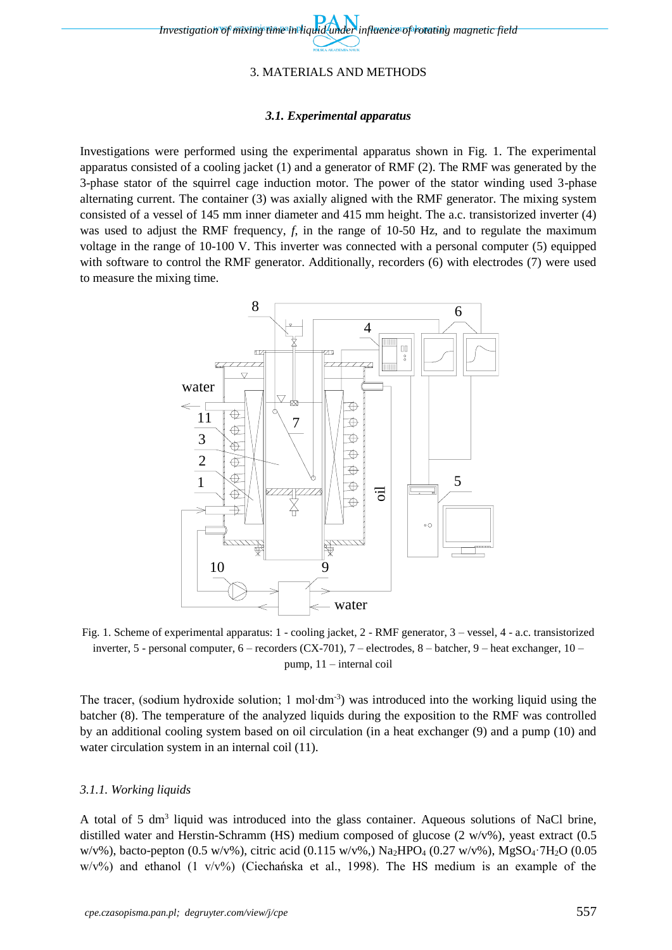## 3. MATERIALS AND METHODS

#### *3.1. Experimental apparatus*

Investigations were performed using the experimental apparatus shown in Fig. 1. The experimental apparatus consisted of a cooling jacket (1) and a generator of RMF (2). The RMF was generated by the 3-phase stator of the squirrel cage induction motor. The power of the stator winding used 3-phase alternating current. The container (3) was axially aligned with the RMF generator. The mixing system consisted of a vessel of 145 mm inner diameter and 415 mm height. The a.c. transistorized inverter (4) was used to adjust the RMF frequency, *f*, in the range of 10-50 Hz, and to regulate the maximum voltage in the range of 10-100 V. This inverter was connected with a personal computer (5) equipped with software to control the RMF generator. Additionally, recorders (6) with electrodes (7) were used to measure the mixing time.



Fig. 1. Scheme of experimental apparatus: 1 - cooling jacket, 2 - RMF generator, 3 – vessel, 4 - a.c. transistorized inverter, 5 - personal computer, 6 – recorders (CX-701), 7 – electrodes, 8 – batcher, 9 – heat exchanger, 10 – pump, 11 – internal coil

The tracer, (sodium hydroxide solution; 1 mol⋅dm<sup>-3</sup>) was introduced into the working liquid using the batcher (8). The temperature of the analyzed liquids during the exposition to the RMF was controlled by an additional cooling system based on oil circulation (in a heat exchanger (9) and a pump (10) and water circulation system in an internal coil  $(11)$ .

#### *3.1.1. Working liquids*

A total of 5 dm<sup>3</sup> liquid was introduced into the glass container. Aqueous solutions of NaCl brine, distilled water and Herstin-Schramm (HS) medium composed of glucose (2 w/v%), yeast extract (0.5 w/v%), bacto-pepton (0.5 w/v%), citric acid (0.115 w/v%),  $Na_2HPO_4$  (0.27 w/v%),  $MgSO_4$ <sup>-7</sup>H<sub>2</sub>O (0.05)  $w/v\%$ ) and ethanol (1 v/v%) (Ciechańska et al., 1998). The HS medium is an example of the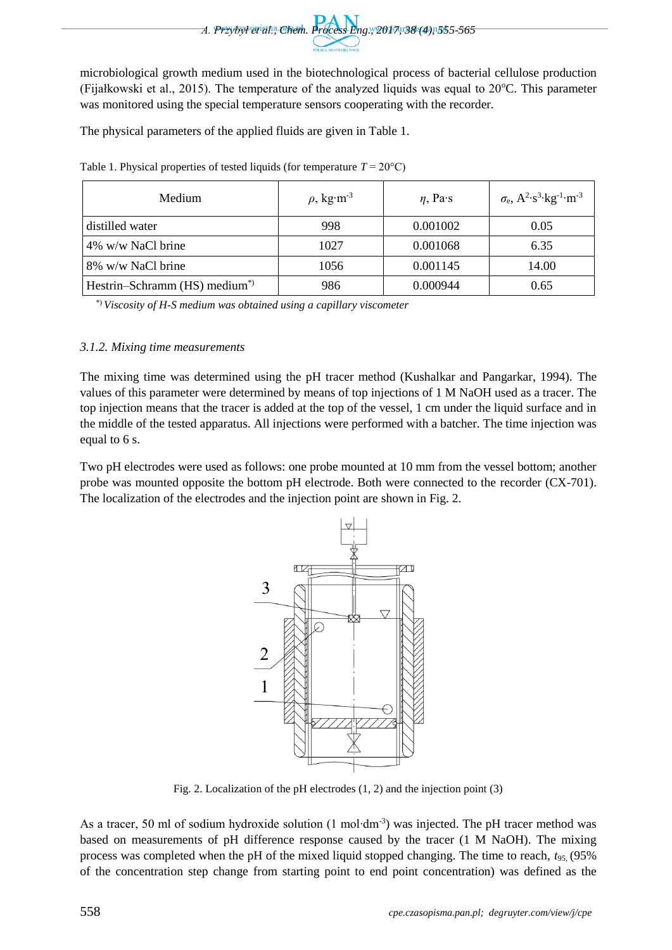

microbiological growth medium used in the biotechnological process of bacterial cellulose production (Fijałkowski et al., 2015). The temperature of the analyzed liquids was equal to  $20^{\circ}$ C. This parameter was monitored using the special temperature sensors cooperating with the recorder.

The physical parameters of the applied fluids are given in Table 1.

| Medium                                   | $\rho$ , kg·m <sup>-3</sup> | $\eta$ , Pa·s | $\sigma_{\rm e}$ , A <sup>2</sup> ·s <sup>3</sup> ·kg <sup>-1</sup> ·m <sup>-3</sup> |
|------------------------------------------|-----------------------------|---------------|--------------------------------------------------------------------------------------|
| distilled water                          | 998                         | 0.001002      | 0.05                                                                                 |
| 4% w/w NaCl brine                        | 1027                        | 0.001068      | 6.35                                                                                 |
| 8% w/w NaCl brine                        | 1056                        | 0.001145      | 14.00                                                                                |
| Hestrin–Schramm (HS) medium <sup>*</sup> | 986                         | 0.000944      | 0.65                                                                                 |

Table 1. Physical properties of tested liquids (for temperature  $T = 20^{\circ}$ C)

\*) *Viscosity of H-S medium was obtained using a capillary viscometer*

## *3.1.2. Mixing time measurements*

The mixing time was determined using the pH tracer method (Kushalkar and Pangarkar, 1994). The values of this parameter were determined by means of top injections of 1 M NaOH used as a tracer. The top injection means that the tracer is added at the top of the vessel, 1 cm under the liquid surface and in the middle of the tested apparatus. All injections were performed with a batcher. The time injection was equal to 6 s.

Two pH electrodes were used as follows: one probe mounted at 10 mm from the vessel bottom; another probe was mounted opposite the bottom pH electrode. Both were connected to the recorder (CX-701). The localization of the electrodes and the injection point are shown in Fig. 2.



Fig. 2. Localization of the pH electrodes (1, 2) and the injection point (3)

As a tracer, 50 ml of sodium hydroxide solution (1 mol⋅dm<sup>-3</sup>) was injected. The pH tracer method was based on measurements of pH difference response caused by the tracer (1 M NaOH). The mixing process was completed when the pH of the mixed liquid stopped changing. The time to reach, *t*95*,* (95% of the concentration step change from starting point to end point concentration) was defined as the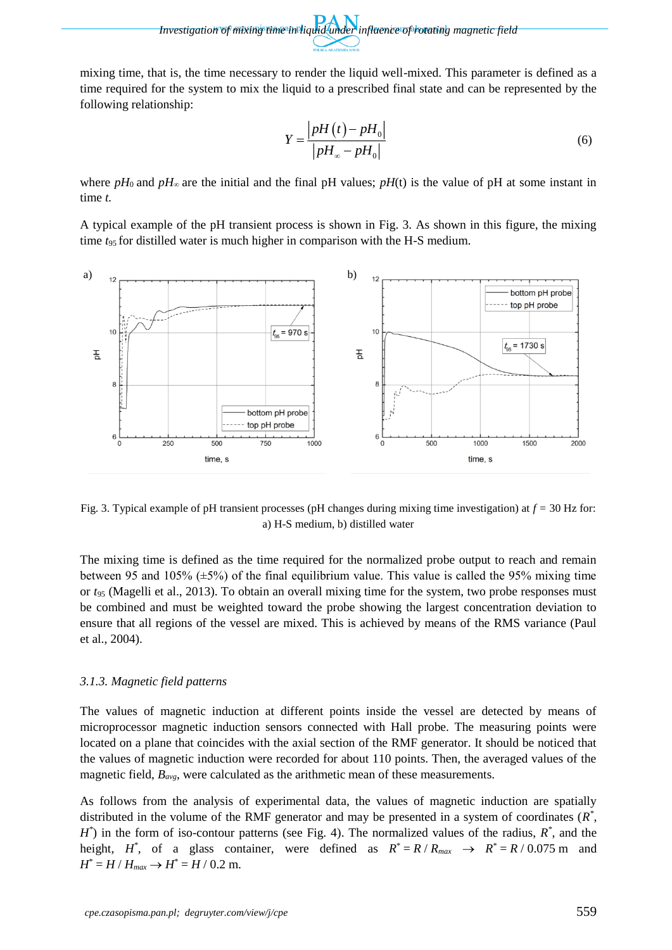mixing time, that is, the time necessary to render the liquid well-mixed. This parameter is defined as a time required for the system to mix the liquid to a prescribed final state and can be represented by the following relationship:

$$
Y = \frac{\left| pH\left(t\right) - pH_{0}\right|}{\left| pH_{\infty} - pH_{0}\right|}
$$
\n
$$
\tag{6}
$$

where  $pH_0$  and  $pH_\infty$  are the initial and the final pH values;  $pH(t)$  is the value of pH at some instant in time *t.*

A typical example of the pH transient process is shown in Fig. 3. As shown in this figure, the mixing time *t*95 for distilled water is much higher in comparison with the H-S medium.



Fig. 3. Typical example of pH transient processes (pH changes during mixing time investigation) at *f =* 30 Hz for: a) H-S medium, b) distilled water

The mixing time is defined as the time required for the normalized probe output to reach and remain between 95 and 105% ( $\pm$ 5%) of the final equilibrium value. This value is called the 95% mixing time or *t*<sup>95</sup> (Magelli et al., 2013). To obtain an overall mixing time for the system, two probe responses must be combined and must be weighted toward the probe showing the largest concentration deviation to ensure that all regions of the vessel are mixed. This is achieved by means of the RMS variance (Paul et al., 2004).

## *3.1.3. Magnetic field patterns*

The values of magnetic induction at different points inside the vessel are detected by means of microprocessor magnetic induction sensors connected with Hall probe. The measuring points were located on a plane that coincides with the axial section of the RMF generator. It should be noticed that the values of magnetic induction were recorded for about 110 points. Then, the averaged values of the magnetic field, *Bavg*, were calculated as the arithmetic mean of these measurements.

As follows from the analysis of experimental data, the values of magnetic induction are spatially distributed in the volume of the RMF generator and may be presented in a system of coordinates (*R \** ,  $H^*$ ) in the form of iso-contour patterns (see Fig. 4). The normalized values of the radius,  $R^*$ , and the height,  $H^*$ , of a glass container, were defined as  $R^* = R / R_{max} \rightarrow R^* = R / 0.075$  m and  $H^* = H / H_{max} \rightarrow H^* = H / 0.2$  m.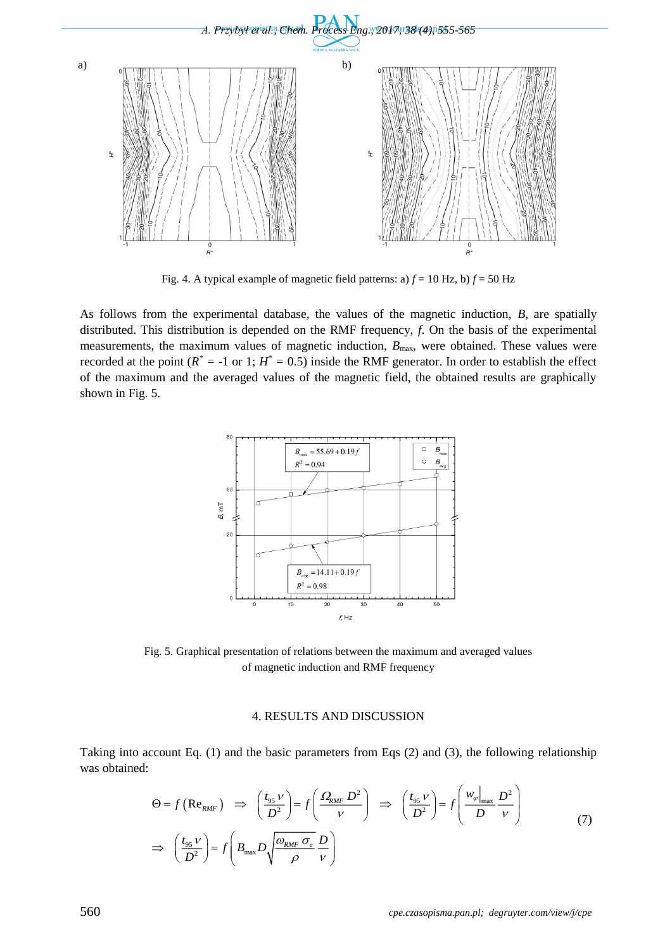

Fig. 4. A typical example of magnetic field patterns: a)  $f = 10$  Hz, b)  $f = 50$  Hz

As follows from the experimental database, the values of the magnetic induction, *B*, are spatially distributed. This distribution is depended on the RMF frequency, *f*. On the basis of the experimental measurements, the maximum values of magnetic induction,  $B_{\text{max}}$ , were obtained. These values were recorded at the point  $(R^* = -1 \text{ or } 1; H^* = 0.5)$  inside the RMF generator. In order to establish the effect of the maximum and the averaged values of the magnetic field, the obtained results are graphically shown in Fig. 5.



Fig. 5. Graphical presentation of relations between the maximum and averaged values of magnetic induction and RMF frequency

#### 4. RESULTS AND DISCUSSION

Taking into account Eq. (1) and the basic parameters from Eqs (2) and (3), the following relationship was obtained:

$$
\Theta = f\left(\text{Re}_{RMF}\right) \implies \left(\frac{t_{95} \nu}{D^2}\right) = f\left(\frac{\Omega_{RMF} D^2}{\nu}\right) \implies \left(\frac{t_{95} \nu}{D^2}\right) = f\left(\frac{w_{\varphi}|_{\text{max}} D^2}{D \nu}\right)
$$
  

$$
\implies \left(\frac{t_{95} \nu}{D^2}\right) = f\left(B_{\text{max}} D \sqrt{\frac{\omega_{RMF} \sigma_e}{\rho} \frac{D}{\nu}}\right)
$$
(7)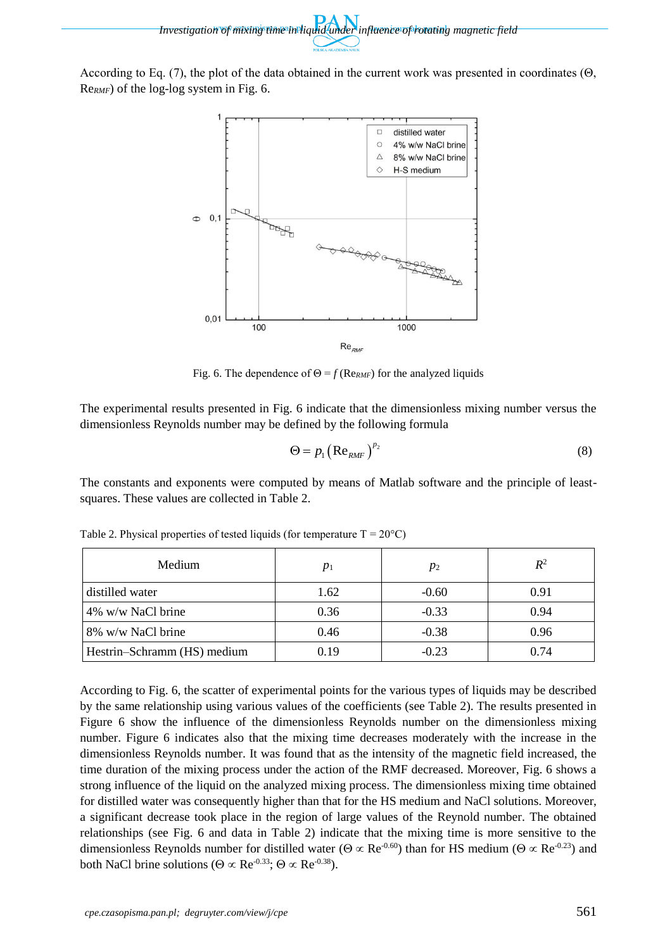According to Eq. (7), the plot of the data obtained in the current work was presented in coordinates (Θ, Re*RMF*) of the log-log system in Fig. 6.



Fig. 6. The dependence of  $\Theta = f(\text{Re}_{RMF})$  for the analyzed liquids

The experimental results presented in Fig. 6 indicate that the dimensionless mixing number versus the dimensionless Reynolds number may be defined by the following formula

$$
\Theta = p_1 \left( \text{Re}_{RMF} \right)^{p_2} \tag{8}
$$

The constants and exponents were computed by means of Matlab software and the principle of leastsquares. These values are collected in Table 2.

| Medium                      | $p_1$ | $p_2$   | $R^2$ |
|-----------------------------|-------|---------|-------|
| distilled water             | 1.62  | $-0.60$ | 0.91  |
| 4% w/w NaCl brine           | 0.36  | $-0.33$ | 0.94  |
| 8% w/w NaCl brine           | 0.46  | $-0.38$ | 0.96  |
| Hestrin-Schramm (HS) medium | 0.19  | $-0.23$ | 0.74  |

Table 2. Physical properties of tested liquids (for temperature  $T = 20^{\circ}C$ )

According to Fig. 6, the scatter of experimental points for the various types of liquids may be described by the same relationship using various values of the coefficients (see Table 2). The results presented in Figure 6 show the influence of the dimensionless Reynolds number on the dimensionless mixing number. Figure 6 indicates also that the mixing time decreases moderately with the increase in the dimensionless Reynolds number. It was found that as the intensity of the magnetic field increased, the time duration of the mixing process under the action of the RMF decreased. Moreover, Fig. 6 shows a strong influence of the liquid on the analyzed mixing process. The dimensionless mixing time obtained for distilled water was consequently higher than that for the HS medium and NaCl solutions. Moreover, a significant decrease took place in the region of large values of the Reynold number. The obtained relationships (see Fig. 6 and data in Table 2) indicate that the mixing time is more sensitive to the dimensionless Reynolds number for distilled water ( $\Theta \propto \text{Re}^{0.60}$ ) than for HS medium ( $\Theta \propto \text{Re}^{0.23}$ ) and both NaCl brine solutions ( $\Theta \propto \text{Re}^{-0.33}$ ;  $\Theta \propto \text{Re}^{-0.38}$ ).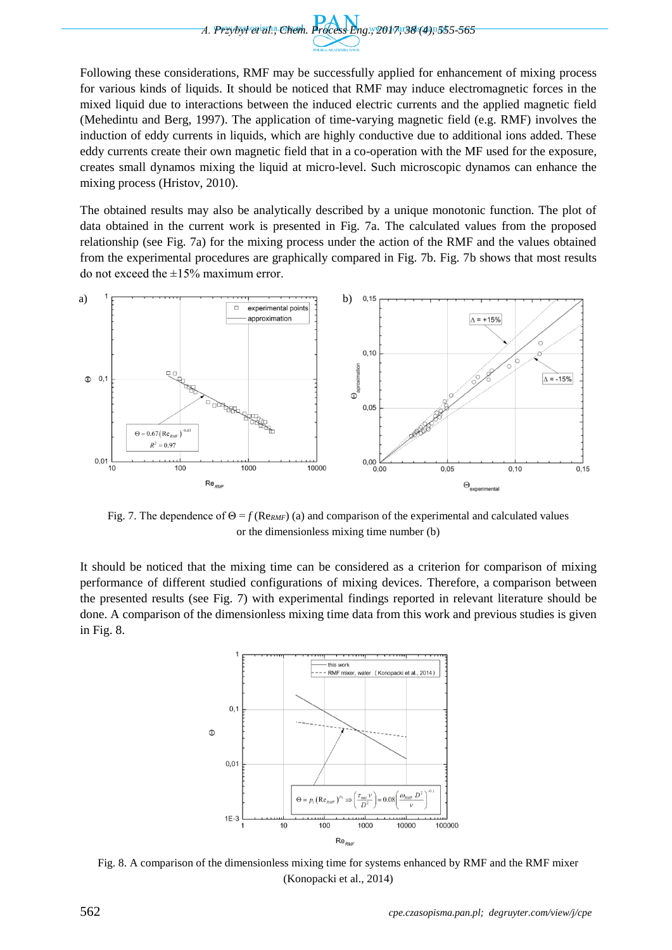

Following these considerations, RMF may be successfully applied for enhancement of mixing process for various kinds of liquids. It should be noticed that RMF may induce electromagnetic forces in the mixed liquid due to interactions between the induced electric currents and the applied magnetic field (Mehedintu and Berg, 1997). The application of time-varying magnetic field (e.g. RMF) involves the induction of eddy currents in liquids, which are highly conductive due to additional ions added. These eddy currents create their own magnetic field that in a co-operation with the MF used for the exposure, creates small dynamos mixing the liquid at micro-level. Such microscopic dynamos can enhance the mixing process (Hristov, 2010).

The obtained results may also be analytically described by a unique monotonic function. The plot of data obtained in the current work is presented in Fig. 7a. The calculated values from the proposed relationship (see Fig. 7a) for the mixing process under the action of the RMF and the values obtained from the experimental procedures are graphically compared in Fig. 7b. Fig. 7b shows that most results do not exceed the  $\pm 15\%$  maximum error.



Fig. 7. The dependence of  $\Theta = f(\text{Re}_{RMF})$  (a) and comparison of the experimental and calculated values or the dimensionless mixing time number (b)

It should be noticed that the mixing time can be considered as a criterion for comparison of mixing performance of different studied configurations of mixing devices. Therefore, a comparison between the presented results (see Fig. 7) with experimental findings reported in relevant literature should be done. A comparison of the dimensionless mixing time data from this work and previous studies is given in Fig. 8.



Fig. 8. A comparison of the dimensionless mixing time for systems enhanced by RMF and the RMF mixer (Konopacki et al., 2014)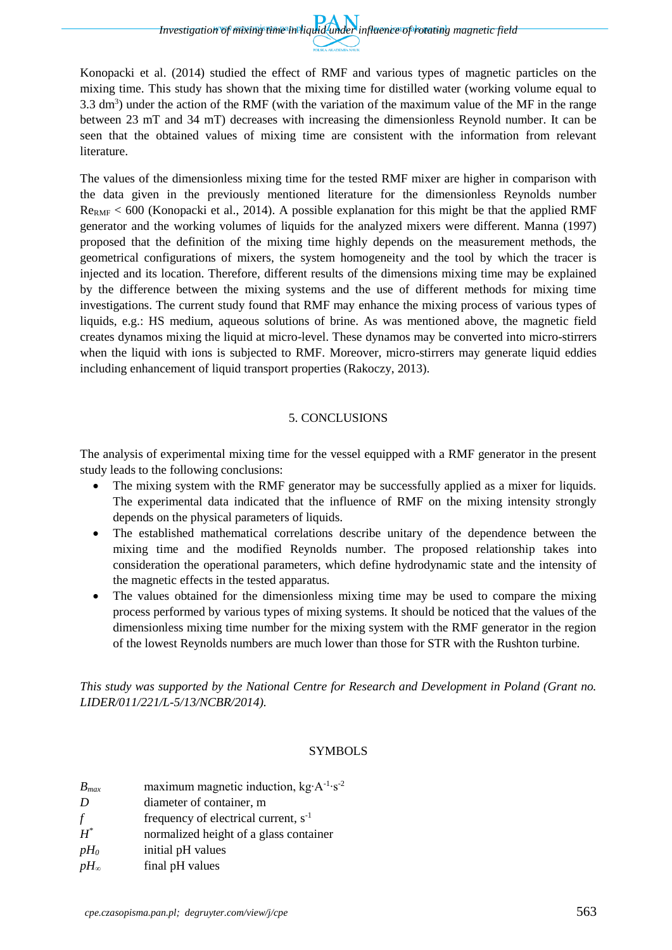Konopacki et al. (2014) studied the effect of RMF and various types of magnetic particles on the mixing time. This study has shown that the mixing time for distilled water (working volume equal to 3.3 dm<sup>3</sup>) under the action of the RMF (with the variation of the maximum value of the MF in the range between 23 mT and 34 mT) decreases with increasing the dimensionless Reynold number. It can be seen that the obtained values of mixing time are consistent with the information from relevant literature.

The values of the dimensionless mixing time for the tested RMF mixer are higher in comparison with the data given in the previously mentioned literature for the dimensionless Reynolds number  $R_{\text{PRMF}}$  < 600 (Konopacki et al., 2014). A possible explanation for this might be that the applied RMF generator and the working volumes of liquids for the analyzed mixers were different. Manna (1997) proposed that the definition of the mixing time highly depends on the measurement methods, the geometrical configurations of mixers, the system homogeneity and the tool by which the tracer is injected and its location. Therefore, different results of the dimensions mixing time may be explained by the difference between the mixing systems and the use of different methods for mixing time investigations. The current study found that RMF may enhance the mixing process of various types of liquids, e.g.: HS medium, aqueous solutions of brine. As was mentioned above, the magnetic field creates dynamos mixing the liquid at micro-level. These dynamos may be converted into micro-stirrers when the liquid with ions is subjected to RMF. Moreover, micro-stirrers may generate liquid eddies including enhancement of liquid transport properties (Rakoczy, 2013).

## 5. CONCLUSIONS

The analysis of experimental mixing time for the vessel equipped with a RMF generator in the present study leads to the following conclusions:

- The mixing system with the RMF generator may be successfully applied as a mixer for liquids. The experimental data indicated that the influence of RMF on the mixing intensity strongly depends on the physical parameters of liquids.
- The established mathematical correlations describe unitary of the dependence between the mixing time and the modified Reynolds number. The proposed relationship takes into consideration the operational parameters, which define hydrodynamic state and the intensity of the magnetic effects in the tested apparatus.
- The values obtained for the dimensionless mixing time may be used to compare the mixing process performed by various types of mixing systems. It should be noticed that the values of the dimensionless mixing time number for the mixing system with the RMF generator in the region of the lowest Reynolds numbers are much lower than those for STR with the Rushton turbine.

*This study was supported by the National Centre for Research and Development in Poland (Grant no. LIDER/011/221/L-5/13/NCBR/2014).*

## SYMBOLS

| $B_{max}$     | maximum magnetic induction, $kg \cdot A^{-1} \cdot s^{-2}$ |
|---------------|------------------------------------------------------------|
| D             | diameter of container, m                                   |
| f             | frequency of electrical current, $s^{-1}$                  |
| $H^*$         | normalized height of a glass container                     |
| $pH_0$        | initial pH values                                          |
| $pH_{\infty}$ | final pH values                                            |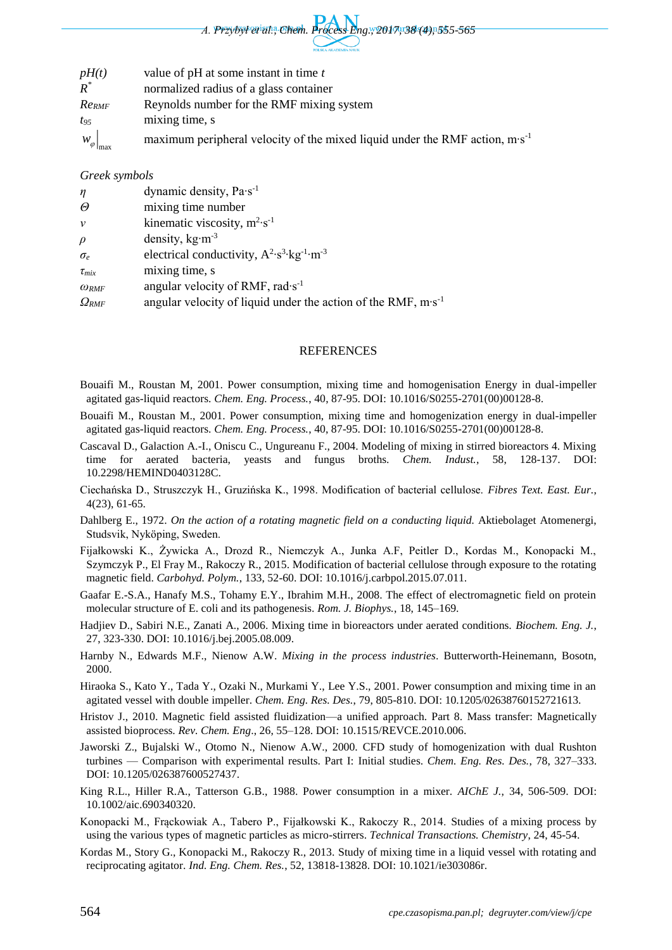

| pH(t)                     | value of $pH$ at some instant in time $t$                                              |
|---------------------------|----------------------------------------------------------------------------------------|
| $R^*$                     | normalized radius of a glass container                                                 |
| $Re_{RMF}$                | Reynolds number for the RMF mixing system                                              |
| $t_{95}$                  | mixing time, s                                                                         |
| $W_{\varphi}\big _{\max}$ | maximum peripheral velocity of the mixed liquid under the RMF action, $m \cdot s^{-1}$ |

#### *Greek symbols*

| $\eta$            | dynamic density, $Pa·s^{-1}$                                             |
|-------------------|--------------------------------------------------------------------------|
| $\Theta$          | mixing time number                                                       |
| $\mathcal{V}$     | kinematic viscosity, $m^2 s^{-1}$                                        |
| $\rho$            | density, $kg·m-3$                                                        |
| $\sigma_e$        | electrical conductivity, $A^2 \cdot s^3 \cdot kg^{-1} \cdot m^{-3}$      |
| $\tau_{mix}$      | mixing time, s                                                           |
| $\omega_{RMF}$    | angular velocity of RMF, rad $\cdot$ s <sup>-1</sup>                     |
| $\varOmega_{RMF}$ | angular velocity of liquid under the action of the RMF, $m \cdot s^{-1}$ |

#### REFERENCES

- Bouaifi M., Roustan M, 2001. Power consumption, mixing time and homogenisation Energy in dual-impeller agitated gas-liquid reactors. *Chem. Eng. Process.*, 40, 87-95. DOI: 10.1016/S0255-2701(00)00128-8.
- Bouaifi M., Roustan M., 2001. Power consumption, mixing time and homogenization energy in dual-impeller agitated gas-liquid reactors. *Chem. Eng. Process.*, 40, 87-95. DOI: 10.1016/S0255-2701(00)00128-8.
- Cascaval D., Galaction A.-I., Oniscu C., Ungureanu F., 2004. Modeling of mixing in stirred bioreactors 4. Mixing time for aerated bacteria, yeasts and fungus broths. *Chem. Indust.*, 58, 128-137. DOI: 10.2298/HEMIND0403128C.
- Ciechańska D., Struszczyk H., Gruzińska K., 1998. Modification of bacterial cellulose. *Fibres Text. East. Eur.*, 4(23), 61-65.
- Dahlberg E., 1972. *On the action of a rotating magnetic field on a conducting liquid.* Aktiebolaget Atomenergi, Studsvik, Nyköping, Sweden.
- Fijałkowski K., Żywicka A., Drozd R., Niemczyk A., Junka A.F, Peitler D., Kordas M., Konopacki M., Szymczyk P., El Fray M., Rakoczy R., 2015. Modification of bacterial cellulose through exposure to the rotating magnetic field. *Carbohyd. Polym.*, 133, 52-60. DOI: 10.1016/j.carbpol.2015.07.011.
- Gaafar E.-S.A., Hanafy M.S., Tohamy E.Y., Ibrahim M.H., 2008. The effect of electromagnetic field on protein molecular structure of E. coli and its pathogenesis. *Rom. J. Biophys.*, 18, 145–169.
- Hadjiev D., Sabiri N.E., Zanati A., 2006. Mixing time in bioreactors under aerated conditions. *Biochem. Eng. J.*, 27, 323-330. DOI: 10.1016/j.bej.2005.08.009.
- Harnby N., Edwards M.F., Nienow A.W. *Mixing in the process industries*. Butterworth-Heinemann, Bosotn, 2000.
- Hiraoka S., Kato Y., Tada Y., Ozaki N., Murkami Y., Lee Y.S., 2001. Power consumption and mixing time in an agitated vessel with double impeller. *Chem. Eng. Res. Des.*, 79, 805-810. DOI: 10.1205/02638760152721613.
- Hristov J., 2010. Magnetic field assisted fluidization—a unified approach. Part 8. Mass transfer: Magnetically assisted bioprocess. *Rev. Chem. Eng*., 26, 55–128. DOI: 10.1515/REVCE.2010.006.
- Jaworski Z., Bujalski W., Otomo N., Nienow A.W., 2000. CFD study of homogenization with dual Rushton turbines — Comparison with experimental results. Part I: Initial studies. *Chem. Eng. Res. Des.*, 78, 327–333. DOI: 10.1205/026387600527437.
- King R.L., Hiller R.A., Tatterson G.B., 1988. Power consumption in a mixer. *AIChE J.*, 34, 506-509. DOI: 10.1002/aic.690340320.
- Konopacki M., Frąckowiak A., Tabero P., Fijałkowski K., Rakoczy R., 2014. Studies of a mixing process by using the various types of magnetic particles as micro-stirrers. *Technical Transactions. Chemistry*, 24, 45-54.
- Kordas M., Story G., Konopacki M., Rakoczy R., 2013. Study of mixing time in a liquid vessel with rotating and reciprocating agitator. *Ind. Eng. Chem. Res.*, 52, 13818-13828. DOI: 10.1021/ie303086r.